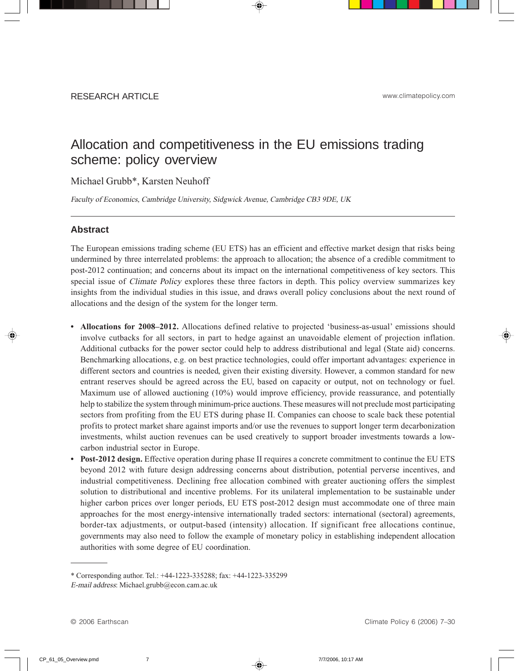RESEARCH ARTICLE www.climatepolicy.com

# Allocation and competitiveness in the EU emissions trading scheme: policy overview

Michael Grubb\*, Karsten Neuhoff

Faculty of Economics, Cambridge University, Sidgwick Avenue, Cambridge CB3 9DE, UK

## **Abstract**

The European emissions trading scheme (EU ETS) has an efficient and effective market design that risks being undermined by three interrelated problems: the approach to allocation; the absence of a credible commitment to post-2012 continuation; and concerns about its impact on the international competitiveness of key sectors. This special issue of Climate Policy explores these three factors in depth. This policy overview summarizes key insights from the individual studies in this issue, and draws overall policy conclusions about the next round of allocations and the design of the system for the longer term.

- **Allocations for 2008–2012.** Allocations defined relative to projected 'business-as-usual' emissions should involve cutbacks for all sectors, in part to hedge against an unavoidable element of projection inflation. Additional cutbacks for the power sector could help to address distributional and legal (State aid) concerns. Benchmarking allocations, e.g. on best practice technologies, could offer important advantages: experience in different sectors and countries is needed, given their existing diversity. However, a common standard for new entrant reserves should be agreed across the EU, based on capacity or output, not on technology or fuel. Maximum use of allowed auctioning (10%) would improve efficiency, provide reassurance, and potentially help to stabilize the system through minimum-price auctions. These measures will not preclude most participating sectors from profiting from the EU ETS during phase II. Companies can choose to scale back these potential profits to protect market share against imports and/or use the revenues to support longer term decarbonization investments, whilst auction revenues can be used creatively to support broader investments towards a lowcarbon industrial sector in Europe.
- **Post-2012 design.** Effective operation during phase II requires a concrete commitment to continue the EU ETS beyond 2012 with future design addressing concerns about distribution, potential perverse incentives, and industrial competitiveness. Declining free allocation combined with greater auctioning offers the simplest solution to distributional and incentive problems. For its unilateral implementation to be sustainable under higher carbon prices over longer periods, EU ETS post-2012 design must accommodate one of three main approaches for the most energy-intensive internationally traded sectors: international (sectoral) agreements, border-tax adjustments, or output-based (intensity) allocation. If significant free allocations continue, governments may also need to follow the example of monetary policy in establishing independent allocation authorities with some degree of EU coordination.

<sup>\*</sup> Corresponding author. Tel.: +44-1223-335288; fax: +44-1223-335299

E-mail address: Michael.grubb@econ.cam.ac.uk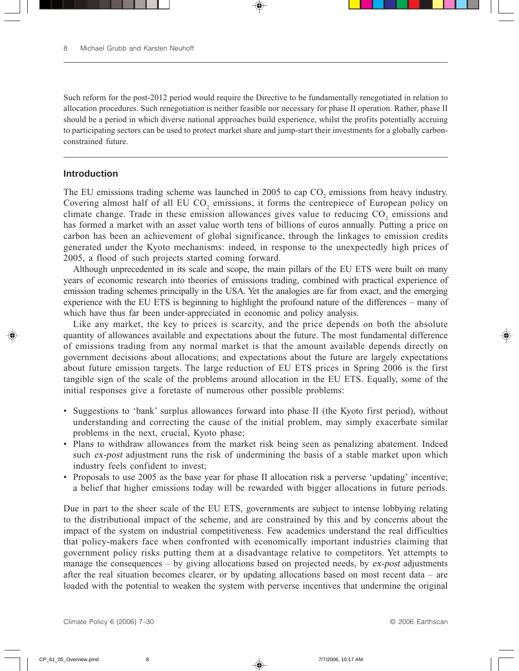Such reform for the post-2012 period would require the Directive to be fundamentally renegotiated in relation to allocation procedures. Such renegotiation is neither feasible nor necessary for phase II operation. Rather, phase II should be a period in which diverse national approaches build experience, whilst the profits potentially accruing to participating sectors can be used to protect market share and jump-start their investments for a globally carbonconstrained future.

## **Introduction**

The EU emissions trading scheme was launched in 2005 to cap  $CO_2$  emissions from heavy industry. Covering almost half of all  $EU CO_2$  emissions, it forms the centrepiece of European policy on climate change. Trade in these emission allowances gives value to reducing  $CO_2$  emissions and has formed a market with an asset value worth tens of billions of euros annually. Putting a price on carbon has been an achievement of global significance, through the linkages to emission credits generated under the Kyoto mechanisms: indeed, in response to the unexpectedly high prices of 2005, a flood of such projects started coming forward.

Although unprecedented in its scale and scope, the main pillars of the EU ETS were built on many years of economic research into theories of emissions trading, combined with practical experience of emission trading schemes principally in the USA. Yet the analogies are far from exact, and the emerging experience with the EU ETS is beginning to highlight the profound nature of the differences – many of which have thus far been under-appreciated in economic and policy analysis.

Like any market, the key to prices is scarcity, and the price depends on both the absolute quantity of allowances available and expectations about the future. The most fundamental difference of emissions trading from any normal market is that the amount available depends directly on government decisions about allocations; and expectations about the future are largely expectations about future emission targets. The large reduction of EU ETS prices in Spring 2006 is the first tangible sign of the scale of the problems around allocation in the EU ETS. Equally, some of the initial responses give a foretaste of numerous other possible problems:

- Suggestions to 'bank' surplus allowances forward into phase II (the Kyoto first period), without understanding and correcting the cause of the initial problem, may simply exacerbate similar problems in the next, crucial, Kyoto phase;
- Plans to withdraw allowances from the market risk being seen as penalizing abatement. Indeed such ex-post adjustment runs the risk of undermining the basis of a stable market upon which industry feels confident to invest;
- Proposals to use 2005 as the base year for phase II allocation risk a perverse 'updating' incentive; a belief that higher emissions today will be rewarded with bigger allocations in future periods.

Due in part to the sheer scale of the EU ETS, governments are subject to intense lobbying relating to the distributional impact of the scheme, and are constrained by this and by concerns about the impact of the system on industrial competitiveness. Few academics understand the real difficulties that policy-makers face when confronted with economically important industries claiming that government policy risks putting them at a disadvantage relative to competitors. Yet attempts to manage the consequences – by giving allocations based on projected needs, by  $ex$ -post adjustments after the real situation becomes clearer, or by updating allocations based on most recent data – are loaded with the potential to weaken the system with perverse incentives that undermine the original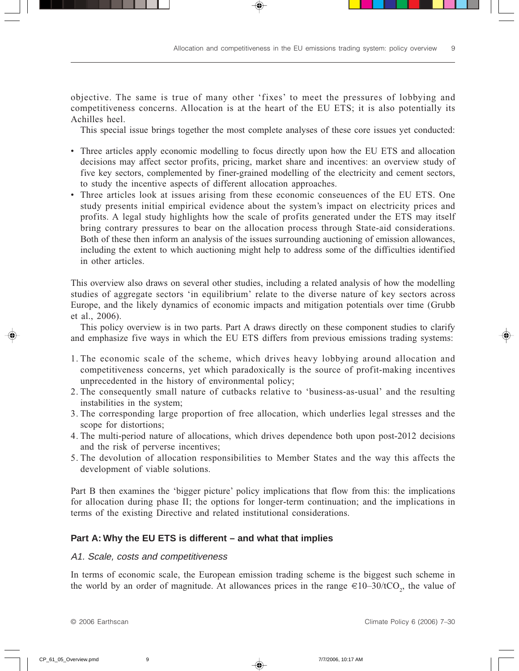objective. The same is true of many other 'fixes' to meet the pressures of lobbying and competitiveness concerns. Allocation is at the heart of the EU ETS; it is also potentially its Achilles heel.

This special issue brings together the most complete analyses of these core issues yet conducted:

- Three articles apply economic modelling to focus directly upon how the EU ETS and allocation decisions may affect sector profits, pricing, market share and incentives: an overview study of five key sectors, complemented by finer-grained modelling of the electricity and cement sectors, to study the incentive aspects of different allocation approaches.
- Three articles look at issues arising from these economic conseuences of the EU ETS. One study presents initial empirical evidence about the system's impact on electricity prices and profits. A legal study highlights how the scale of profits generated under the ETS may itself bring contrary pressures to bear on the allocation process through State-aid considerations. Both of these then inform an analysis of the issues surrounding auctioning of emission allowances, including the extent to which auctioning might help to address some of the difficulties identified in other articles.

This overview also draws on several other studies, including a related analysis of how the modelling studies of aggregate sectors 'in equilibrium' relate to the diverse nature of key sectors across Europe, and the likely dynamics of economic impacts and mitigation potentials over time (Grubb et al., 2006).

This policy overview is in two parts. Part A draws directly on these component studies to clarify and emphasize five ways in which the EU ETS differs from previous emissions trading systems:

- 1. The economic scale of the scheme, which drives heavy lobbying around allocation and competitiveness concerns, yet which paradoxically is the source of profit-making incentives unprecedented in the history of environmental policy;
- 2. The consequently small nature of cutbacks relative to 'business-as-usual' and the resulting instabilities in the system;
- 3. The corresponding large proportion of free allocation, which underlies legal stresses and the scope for distortions;
- 4. The multi-period nature of allocations, which drives dependence both upon post-2012 decisions and the risk of perverse incentives;
- 5. The devolution of allocation responsibilities to Member States and the way this affects the development of viable solutions.

Part B then examines the 'bigger picture' policy implications that flow from this: the implications for allocation during phase II; the options for longer-term continuation; and the implications in terms of the existing Directive and related institutional considerations.

## **Part A: Why the EU ETS is different – and what that implies**

#### A1. Scale, costs and competitiveness

In terms of economic scale, the European emission trading scheme is the biggest such scheme in the world by an order of magnitude. At allowances prices in the range  $\in 10-30/\text{tCO}_2$ , the value of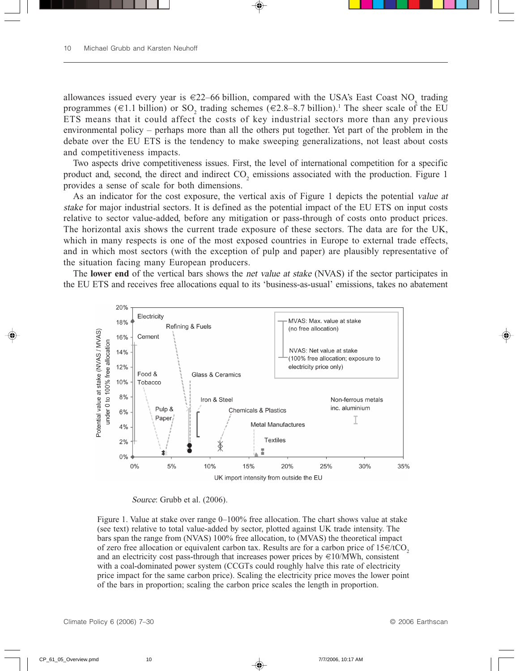allowances issued every year is  $\epsilon$ 22–66 billion, compared with the USA's East Coast NO<sub>x</sub> trading programmes ( $\in$ 1.1 billion) or SO<sub>2</sub> trading schemes ( $\in$ 2.8–8.7 billion).<sup>1</sup> The sheer scale of the EU ETS means that it could affect the costs of key industrial sectors more than any previous environmental policy – perhaps more than all the others put together. Yet part of the problem in the debate over the EU ETS is the tendency to make sweeping generalizations, not least about costs and competitiveness impacts.

Two aspects drive competitiveness issues. First, the level of international competition for a specific product and, second, the direct and indirect  $CO_2$  emissions associated with the production. Figure 1 provides a sense of scale for both dimensions.

As an indicator for the cost exposure, the vertical axis of Figure 1 depicts the potential value at stake for major industrial sectors. It is defined as the potential impact of the EU ETS on input costs relative to sector value-added, before any mitigation or pass-through of costs onto product prices. The horizontal axis shows the current trade exposure of these sectors. The data are for the UK, which in many respects is one of the most exposed countries in Europe to external trade effects, and in which most sectors (with the exception of pulp and paper) are plausibly representative of the situation facing many European producers.

The **lower end** of the vertical bars shows the net value at stake (NVAS) if the sector participates in the EU ETS and receives free allocations equal to its 'business-as-usual' emissions, takes no abatement



Source: Grubb et al. (2006).

Figure 1. Value at stake over range 0–100% free allocation. The chart shows value at stake (see text) relative to total value-added by sector, plotted against UK trade intensity. The bars span the range from (NVAS) 100% free allocation, to (MVAS) the theoretical impact of zero free allocation or equivalent carbon tax. Results are for a carbon price of  $15\epsilon/tCO$ , and an electricity cost pass-through that increases power prices by  $\in 10/MWh$ , consistent with a coal-dominated power system (CCGTs could roughly halve this rate of electricity price impact for the same carbon price). Scaling the electricity price moves the lower point of the bars in proportion; scaling the carbon price scales the length in proportion.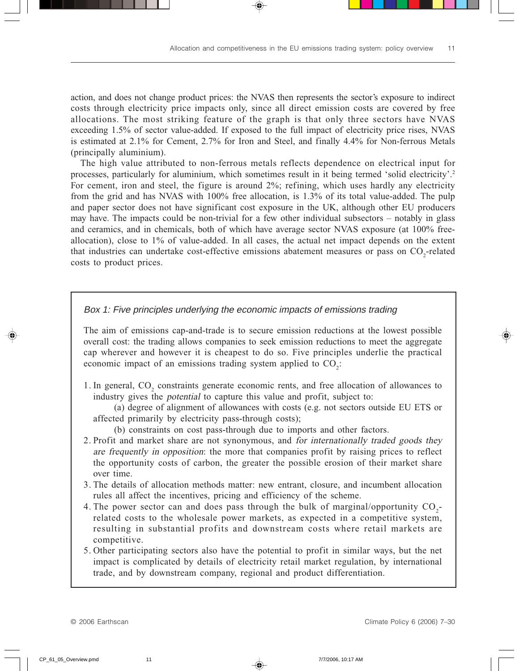action, and does not change product prices: the NVAS then represents the sector's exposure to indirect costs through electricity price impacts only, since all direct emission costs are covered by free allocations. The most striking feature of the graph is that only three sectors have NVAS exceeding 1.5% of sector value-added. If exposed to the full impact of electricity price rises, NVAS is estimated at 2.1% for Cement, 2.7% for Iron and Steel, and finally 4.4% for Non-ferrous Metals (principally aluminium).

The high value attributed to non-ferrous metals reflects dependence on electrical input for processes, particularly for aluminium, which sometimes result in it being termed 'solid electricity'.<sup>2</sup> For cement, iron and steel, the figure is around 2%; refining, which uses hardly any electricity from the grid and has NVAS with 100% free allocation, is 1.3% of its total value-added. The pulp and paper sector does not have significant cost exposure in the UK, although other EU producers may have. The impacts could be non-trivial for a few other individual subsectors – notably in glass and ceramics, and in chemicals, both of which have average sector NVAS exposure (at 100% freeallocation), close to 1% of value-added. In all cases, the actual net impact depends on the extent that industries can undertake cost-effective emissions abatement measures or pass on  $CO_2$ -related costs to product prices.

# Box 1: Five principles underlying the economic impacts of emissions trading

The aim of emissions cap-and-trade is to secure emission reductions at the lowest possible overall cost: the trading allows companies to seek emission reductions to meet the aggregate cap wherever and however it is cheapest to do so. Five principles underlie the practical economic impact of an emissions trading system applied to  $CO_2$ :

1. In general, CO<sub>2</sub> constraints generate economic rents, and free allocation of allowances to industry gives the potential to capture this value and profit, subject to:

(a) degree of alignment of allowances with costs (e.g. not sectors outside EU ETS or affected primarily by electricity pass-through costs);

(b) constraints on cost pass-through due to imports and other factors.

- 2. Profit and market share are not synonymous, and for internationally traded goods they are frequently in opposition: the more that companies profit by raising prices to reflect the opportunity costs of carbon, the greater the possible erosion of their market share over time.
- 3. The details of allocation methods matter: new entrant, closure, and incumbent allocation rules all affect the incentives, pricing and efficiency of the scheme.
- 4. The power sector can and does pass through the bulk of marginal/opportunity  $CO_2$ related costs to the wholesale power markets, as expected in a competitive system, resulting in substantial profits and downstream costs where retail markets are competitive.
- 5. Other participating sectors also have the potential to profit in similar ways, but the net impact is complicated by details of electricity retail market regulation, by international trade, and by downstream company, regional and product differentiation.

© 2006 Earthscan Climate Policy 6 (2006) 7–30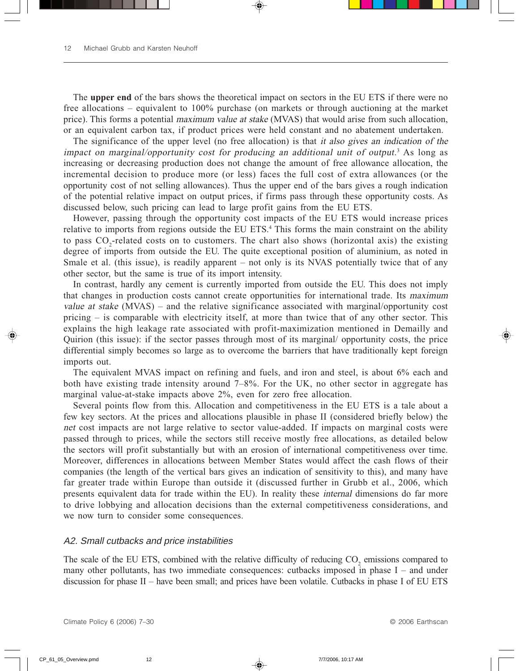12 Michael Grubb and Karsten Neuhoff

The **upper end** of the bars shows the theoretical impact on sectors in the EU ETS if there were no free allocations – equivalent to 100% purchase (on markets or through auctioning at the market price). This forms a potential maximum value at stake (MVAS) that would arise from such allocation, or an equivalent carbon tax, if product prices were held constant and no abatement undertaken.

The significance of the upper level (no free allocation) is that it also gives an indication of the impact on marginal/opportunity cost for producing an additional unit of output.<sup>3</sup> As long as increasing or decreasing production does not change the amount of free allowance allocation, the incremental decision to produce more (or less) faces the full cost of extra allowances (or the opportunity cost of not selling allowances). Thus the upper end of the bars gives a rough indication of the potential relative impact on output prices, if firms pass through these opportunity costs. As discussed below, such pricing can lead to large profit gains from the EU ETS.

However, passing through the opportunity cost impacts of the EU ETS would increase prices relative to imports from regions outside the EU ETS.<sup>4</sup> This forms the main constraint on the ability to pass  $CO_2$ -related costs on to customers. The chart also shows (horizontal axis) the existing degree of imports from outside the EU. The quite exceptional position of aluminium, as noted in Smale et al. (this issue), is readily apparent – not only is its NVAS potentially twice that of any other sector, but the same is true of its import intensity.

In contrast, hardly any cement is currently imported from outside the EU. This does not imply that changes in production costs cannot create opportunities for international trade. Its maximum value at stake (MVAS) – and the relative significance associated with marginal/opportunity cost pricing – is comparable with electricity itself, at more than twice that of any other sector. This explains the high leakage rate associated with profit-maximization mentioned in Demailly and Quirion (this issue): if the sector passes through most of its marginal/ opportunity costs, the price differential simply becomes so large as to overcome the barriers that have traditionally kept foreign imports out.

The equivalent MVAS impact on refining and fuels, and iron and steel, is about 6% each and both have existing trade intensity around  $7-8\%$ . For the UK, no other sector in aggregate has marginal value-at-stake impacts above 2%, even for zero free allocation.

Several points flow from this. Allocation and competitiveness in the EU ETS is a tale about a few key sectors. At the prices and allocations plausible in phase II (considered briefly below) the net cost impacts are not large relative to sector value-added. If impacts on marginal costs were passed through to prices, while the sectors still receive mostly free allocations, as detailed below the sectors will profit substantially but with an erosion of international competitiveness over time. Moreover, differences in allocations between Member States would affect the cash flows of their companies (the length of the vertical bars gives an indication of sensitivity to this), and many have far greater trade within Europe than outside it (discussed further in Grubb et al., 2006, which presents equivalent data for trade within the EU). In reality these internal dimensions do far more to drive lobbying and allocation decisions than the external competitiveness considerations, and we now turn to consider some consequences.

#### A2. Small cutbacks and price instabilities

The scale of the EU ETS, combined with the relative difficulty of reducing  $CO_2$  emissions compared to many other pollutants, has two immediate consequences: cutbacks imposed in phase I – and under discussion for phase II – have been small; and prices have been volatile. Cutbacks in phase I of EU ETS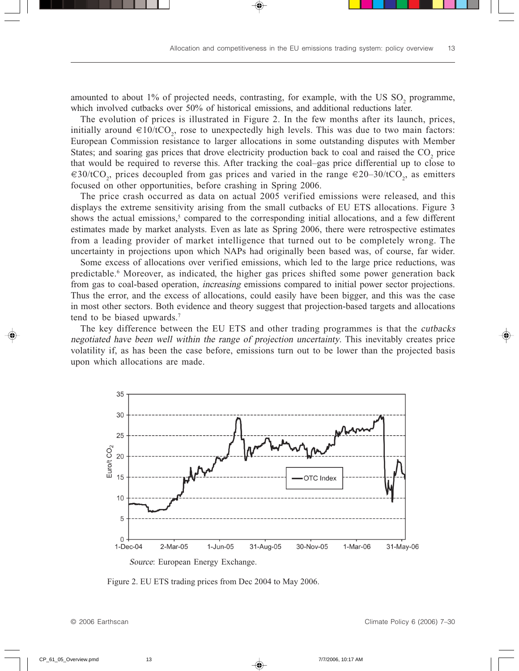amounted to about 1% of projected needs, contrasting, for example, with the US  $SO_2$  programme, which involved cutbacks over 50% of historical emissions, and additional reductions later.

The evolution of prices is illustrated in Figure 2. In the few months after its launch, prices, initially around  $\in$  10/tCO<sub>2</sub>, rose to unexpectedly high levels. This was due to two main factors: European Commission resistance to larger allocations in some outstanding disputes with Member States; and soaring gas prices that drove electricity production back to coal and raised the  $CO_2$  price that would be required to reverse this. After tracking the coal–gas price differential up to close to €30/tCO<sub>2</sub>, prices decoupled from gas prices and varied in the range  $∈20-30/tCO<sub>2</sub>$ , as emitters focused on other opportunities, before crashing in Spring 2006.

The price crash occurred as data on actual 2005 verified emissions were released, and this displays the extreme sensitivity arising from the small cutbacks of EU ETS allocations. Figure 3 shows the actual emissions,<sup>5</sup> compared to the corresponding initial allocations, and a few different estimates made by market analysts. Even as late as Spring 2006, there were retrospective estimates from a leading provider of market intelligence that turned out to be completely wrong. The uncertainty in projections upon which NAPs had originally been based was, of course, far wider.

Some excess of allocations over verified emissions, which led to the large price reductions, was predictable.<sup>6</sup> Moreover, as indicated, the higher gas prices shifted some power generation back from gas to coal-based operation, increasing emissions compared to initial power sector projections. Thus the error, and the excess of allocations, could easily have been bigger, and this was the case in most other sectors. Both evidence and theory suggest that projection-based targets and allocations tend to be biased upwards.7

The key difference between the EU ETS and other trading programmes is that the cutbacks negotiated have been well within the range of projection uncertainty. This inevitably creates price volatility if, as has been the case before, emissions turn out to be lower than the projected basis upon which allocations are made.



Figure 2. EU ETS trading prices from Dec 2004 to May 2006.

© 2006 Earthscan Climate Policy 6 (2006) 7–30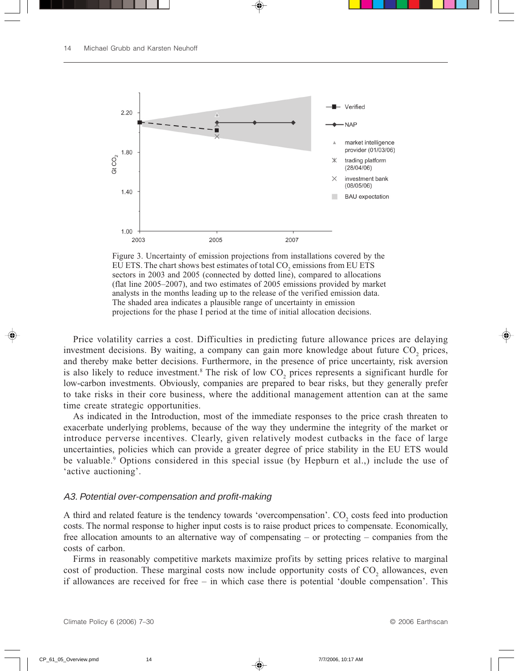

Figure 3. Uncertainty of emission projections from installations covered by the EU ETS. The chart shows best estimates of total  $CO_2$  emissions from EU ETS sectors in 2003 and 2005 (connected by dotted line), compared to allocations (flat line 2005–2007), and two estimates of 2005 emissions provided by market analysts in the months leading up to the release of the verified emission data. The shaded area indicates a plausible range of uncertainty in emission projections for the phase I period at the time of initial allocation decisions.

Price volatility carries a cost. Difficulties in predicting future allowance prices are delaying investment decisions. By waiting, a company can gain more knowledge about future  $CO<sub>2</sub>$  prices, and thereby make better decisions. Furthermore, in the presence of price uncertainty, risk aversion is also likely to reduce investment.<sup>8</sup> The risk of low  $CO_2$  prices represents a significant hurdle for low-carbon investments. Obviously, companies are prepared to bear risks, but they generally prefer to take risks in their core business, where the additional management attention can at the same time create strategic opportunities.

As indicated in the Introduction, most of the immediate responses to the price crash threaten to exacerbate underlying problems, because of the way they undermine the integrity of the market or introduce perverse incentives. Clearly, given relatively modest cutbacks in the face of large uncertainties, policies which can provide a greater degree of price stability in the EU ETS would be valuable.<sup>9</sup> Options considered in this special issue (by Hepburn et al.,) include the use of 'active auctioning'.

#### A3. Potential over-compensation and profit-making

A third and related feature is the tendency towards 'overcompensation'.  $CO<sub>2</sub>$  costs feed into production costs. The normal response to higher input costs is to raise product prices to compensate. Economically, free allocation amounts to an alternative way of compensating – or protecting – companies from the costs of carbon.

Firms in reasonably competitive markets maximize profits by setting prices relative to marginal cost of production. These marginal costs now include opportunity costs of  $CO<sub>2</sub>$  allowances, even if allowances are received for free – in which case there is potential 'double compensation'. This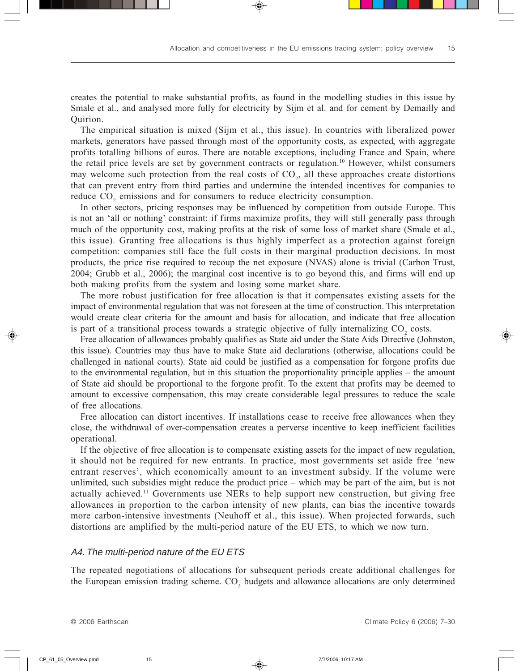creates the potential to make substantial profits, as found in the modelling studies in this issue by Smale et al., and analysed more fully for electricity by Sijm et al. and for cement by Demailly and Quirion.

The empirical situation is mixed (Sijm et al., this issue). In countries with liberalized power markets, generators have passed through most of the opportunity costs, as expected, with aggregate profits totalling billions of euros. There are notable exceptions, including France and Spain, where the retail price levels are set by government contracts or regulation.<sup>10</sup> However, whilst consumers may welcome such protection from the real costs of  $CO<sub>2</sub>$ , all these approaches create distortions that can prevent entry from third parties and undermine the intended incentives for companies to reduce  $CO_2$  emissions and for consumers to reduce electricity consumption.

In other sectors, pricing responses may be influenced by competition from outside Europe. This is not an 'all or nothing' constraint: if firms maximize profits, they will still generally pass through much of the opportunity cost, making profits at the risk of some loss of market share (Smale et al., this issue). Granting free allocations is thus highly imperfect as a protection against foreign competition: companies still face the full costs in their marginal production decisions. In most products, the price rise required to recoup the net exposure (NVAS) alone is trivial (Carbon Trust, 2004; Grubb et al., 2006); the marginal cost incentive is to go beyond this, and firms will end up both making profits from the system and losing some market share.

The more robust justification for free allocation is that it compensates existing assets for the impact of environmental regulation that was not foreseen at the time of construction. This interpretation would create clear criteria for the amount and basis for allocation, and indicate that free allocation is part of a transitional process towards a strategic objective of fully internalizing  $CO<sub>2</sub>$  costs.

Free allocation of allowances probably qualifies as State aid under the State Aids Directive (Johnston, this issue). Countries may thus have to make State aid declarations (otherwise, allocations could be challenged in national courts). State aid could be justified as a compensation for forgone profits due to the environmental regulation, but in this situation the proportionality principle applies – the amount of State aid should be proportional to the forgone profit. To the extent that profits may be deemed to amount to excessive compensation, this may create considerable legal pressures to reduce the scale of free allocations.

Free allocation can distort incentives. If installations cease to receive free allowances when they close, the withdrawal of over-compensation creates a perverse incentive to keep inefficient facilities operational.

If the objective of free allocation is to compensate existing assets for the impact of new regulation, it should not be required for new entrants. In practice, most governments set aside free 'new entrant reserves', which economically amount to an investment subsidy. If the volume were unlimited, such subsidies might reduce the product price – which may be part of the aim, but is not actually achieved.<sup>11</sup> Governments use NERs to help support new construction, but giving free allowances in proportion to the carbon intensity of new plants, can bias the incentive towards more carbon-intensive investments (Neuhoff et al., this issue). When projected forwards, such distortions are amplified by the multi-period nature of the EU ETS, to which we now turn.

## A4. The multi-period nature of the EU ETS

The repeated negotiations of allocations for subsequent periods create additional challenges for the European emission trading scheme.  $CO_2$  budgets and allowance allocations are only determined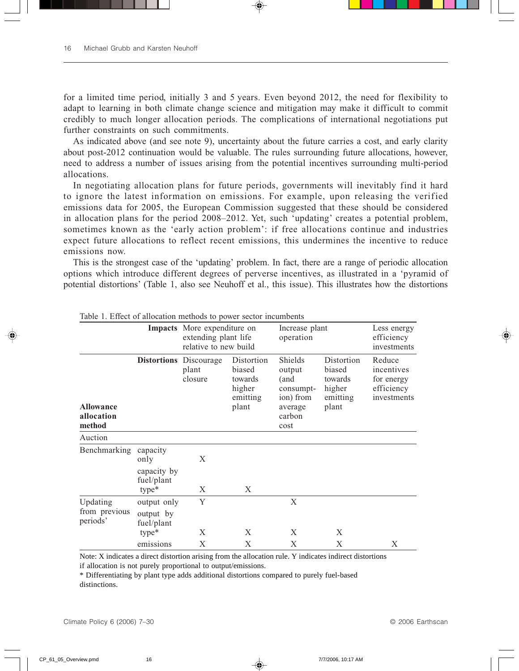for a limited time period, initially 3 and 5 years. Even beyond 2012, the need for flexibility to adapt to learning in both climate change science and mitigation may make it difficult to commit credibly to much longer allocation periods. The complications of international negotiations put further constraints on such commitments.

As indicated above (and see note 9), uncertainty about the future carries a cost, and early clarity about post-2012 continuation would be valuable. The rules surrounding future allocations, however, need to address a number of issues arising from the potential incentives surrounding multi-period allocations.

In negotiating allocation plans for future periods, governments will inevitably find it hard to ignore the latest information on emissions. For example, upon releasing the verified emissions data for 2005, the European Commission suggested that these should be considered in allocation plans for the period 2008–2012. Yet, such 'updating' creates a potential problem, sometimes known as the 'early action problem': if free allocations continue and industries expect future allocations to reflect recent emissions, this undermines the incentive to reduce emissions now.

This is the strongest case of the 'updating' problem. In fact, there are a range of periodic allocation options which introduce different degrees of perverse incentives, as illustrated in a 'pyramid of potential distortions' (Table 1, also see Neuhoff et al., this issue). This illustrates how the distortions

|                                          |                                    | Impacts More expenditure on<br>extending plant life<br>relative to new build |                                                                | Increase plant<br>operation                                                      |                                                                | Less energy<br>efficiency<br>investments                        |
|------------------------------------------|------------------------------------|------------------------------------------------------------------------------|----------------------------------------------------------------|----------------------------------------------------------------------------------|----------------------------------------------------------------|-----------------------------------------------------------------|
| <b>Allowance</b><br>allocation<br>method |                                    | <b>Distortions</b> Discourage<br>plant<br>closure                            | Distortion<br>biased<br>towards<br>higher<br>emitting<br>plant | Shields<br>output<br>(and<br>consumpt-<br>ion) from<br>average<br>carbon<br>cost | Distortion<br>biased<br>towards<br>higher<br>emitting<br>plant | Reduce<br>incentives<br>for energy<br>efficiency<br>investments |
| Auction                                  |                                    |                                                                              |                                                                |                                                                                  |                                                                |                                                                 |
| Benchmarking capacity                    | only                               | $\mathbf{X}$                                                                 |                                                                |                                                                                  |                                                                |                                                                 |
|                                          | capacity by<br>fuel/plant<br>type* | X                                                                            | X                                                              |                                                                                  |                                                                |                                                                 |
| Updating<br>from previous<br>periods'    | output only                        | Y                                                                            |                                                                | X                                                                                |                                                                |                                                                 |
|                                          | output by<br>fuel/plant            |                                                                              |                                                                |                                                                                  |                                                                |                                                                 |
|                                          | type*                              | X                                                                            | X                                                              | X                                                                                | X                                                              |                                                                 |
|                                          | emissions                          | X                                                                            | X                                                              | X                                                                                | X                                                              | X                                                               |

Table 1. Effect of allocation methods to power sector incumbents

Note: X indicates a direct distortion arising from the allocation rule. Y indicates indirect distortions if allocation is not purely proportional to output/emissions.

\* Differentiating by plant type adds additional distortions compared to purely fuel-based distinctions.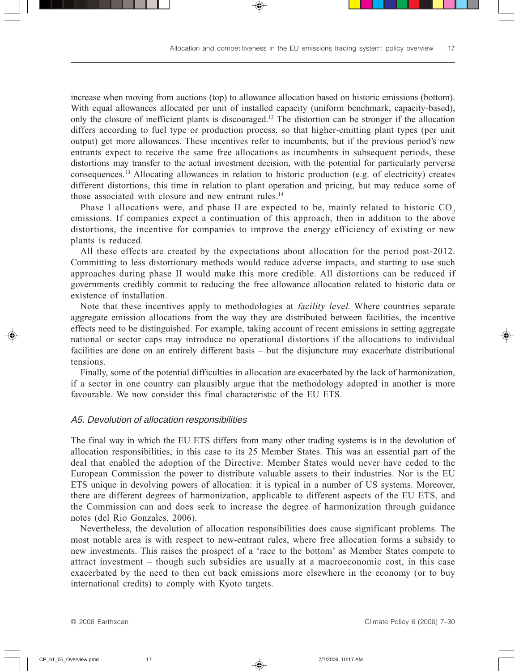increase when moving from auctions (top) to allowance allocation based on historic emissions (bottom). With equal allowances allocated per unit of installed capacity (uniform benchmark, capacity-based), only the closure of inefficient plants is discouraged.12 The distortion can be stronger if the allocation differs according to fuel type or production process, so that higher-emitting plant types (per unit output) get more allowances. These incentives refer to incumbents, but if the previous period's new entrants expect to receive the same free allocations as incumbents in subsequent periods, these distortions may transfer to the actual investment decision, with the potential for particularly perverse consequences.13 Allocating allowances in relation to historic production (e.g. of electricity) creates different distortions, this time in relation to plant operation and pricing, but may reduce some of those associated with closure and new entrant rules.<sup>14</sup>

Phase I allocations were, and phase II are expected to be, mainly related to historic  $CO<sub>2</sub>$ emissions. If companies expect a continuation of this approach, then in addition to the above distortions, the incentive for companies to improve the energy efficiency of existing or new plants is reduced.

All these effects are created by the expectations about allocation for the period post-2012. Committing to less distortionary methods would reduce adverse impacts, and starting to use such approaches during phase II would make this more credible. All distortions can be reduced if governments credibly commit to reducing the free allowance allocation related to historic data or existence of installation.

Note that these incentives apply to methodologies at *facility level*. Where countries separate aggregate emission allocations from the way they are distributed between facilities, the incentive effects need to be distinguished. For example, taking account of recent emissions in setting aggregate national or sector caps may introduce no operational distortions if the allocations to individual facilities are done on an entirely different basis – but the disjuncture may exacerbate distributional tensions.

Finally, some of the potential difficulties in allocation are exacerbated by the lack of harmonization, if a sector in one country can plausibly argue that the methodology adopted in another is more favourable. We now consider this final characteristic of the EU ETS.

## A5. Devolution of allocation responsibilities

The final way in which the EU ETS differs from many other trading systems is in the devolution of allocation responsibilities, in this case to its 25 Member States. This was an essential part of the deal that enabled the adoption of the Directive: Member States would never have ceded to the European Commission the power to distribute valuable assets to their industries. Nor is the EU ETS unique in devolving powers of allocation: it is typical in a number of US systems. Moreover, there are different degrees of harmonization, applicable to different aspects of the EU ETS, and the Commission can and does seek to increase the degree of harmonization through guidance notes (del Rio Gonzales, 2006).

Nevertheless, the devolution of allocation responsibilities does cause significant problems. The most notable area is with respect to new-entrant rules, where free allocation forms a subsidy to new investments. This raises the prospect of a 'race to the bottom' as Member States compete to attract investment – though such subsidies are usually at a macroeconomic cost, in this case exacerbated by the need to then cut back emissions more elsewhere in the economy (or to buy international credits) to comply with Kyoto targets.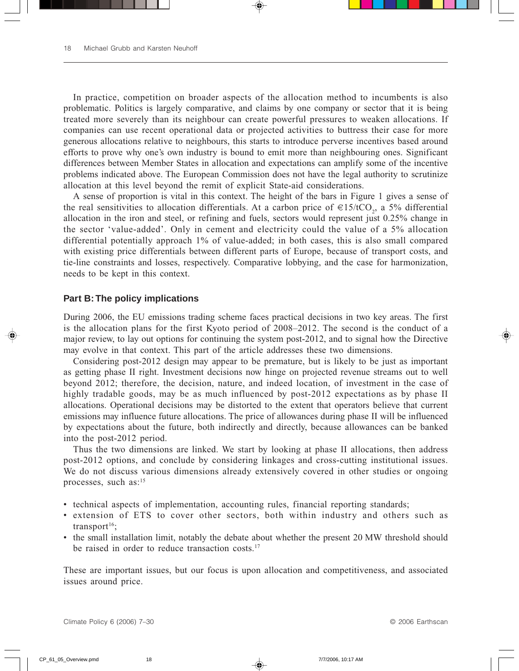In practice, competition on broader aspects of the allocation method to incumbents is also problematic. Politics is largely comparative, and claims by one company or sector that it is being treated more severely than its neighbour can create powerful pressures to weaken allocations. If companies can use recent operational data or projected activities to buttress their case for more generous allocations relative to neighbours, this starts to introduce perverse incentives based around efforts to prove why one's own industry is bound to emit more than neighbouring ones. Significant differences between Member States in allocation and expectations can amplify some of the incentive problems indicated above. The European Commission does not have the legal authority to scrutinize allocation at this level beyond the remit of explicit State-aid considerations.

A sense of proportion is vital in this context. The height of the bars in Figure 1 gives a sense of the real sensitivities to allocation differentials. At a carbon price of  $\in$ 15/tCO<sub>2</sub>, a 5% differential allocation in the iron and steel, or refining and fuels, sectors would represent just 0.25% change in the sector 'value-added'. Only in cement and electricity could the value of a 5% allocation differential potentially approach 1% of value-added; in both cases, this is also small compared with existing price differentials between different parts of Europe, because of transport costs, and tie-line constraints and losses, respectively. Comparative lobbying, and the case for harmonization, needs to be kept in this context.

## **Part B: The policy implications**

During 2006, the EU emissions trading scheme faces practical decisions in two key areas. The first is the allocation plans for the first Kyoto period of 2008–2012. The second is the conduct of a major review, to lay out options for continuing the system post-2012, and to signal how the Directive may evolve in that context. This part of the article addresses these two dimensions.

Considering post-2012 design may appear to be premature, but is likely to be just as important as getting phase II right. Investment decisions now hinge on projected revenue streams out to well beyond 2012; therefore, the decision, nature, and indeed location, of investment in the case of highly tradable goods, may be as much influenced by post-2012 expectations as by phase II allocations. Operational decisions may be distorted to the extent that operators believe that current emissions may influence future allocations. The price of allowances during phase II will be influenced by expectations about the future, both indirectly and directly, because allowances can be banked into the post-2012 period.

Thus the two dimensions are linked. We start by looking at phase II allocations, then address post-2012 options, and conclude by considering linkages and cross-cutting institutional issues. We do not discuss various dimensions already extensively covered in other studies or ongoing processes, such as:15

- technical aspects of implementation, accounting rules, financial reporting standards;
- extension of ETS to cover other sectors, both within industry and others such as transport<sup>16</sup>;
- the small installation limit, notably the debate about whether the present 20 MW threshold should be raised in order to reduce transaction costs.<sup>17</sup>

These are important issues, but our focus is upon allocation and competitiveness, and associated issues around price.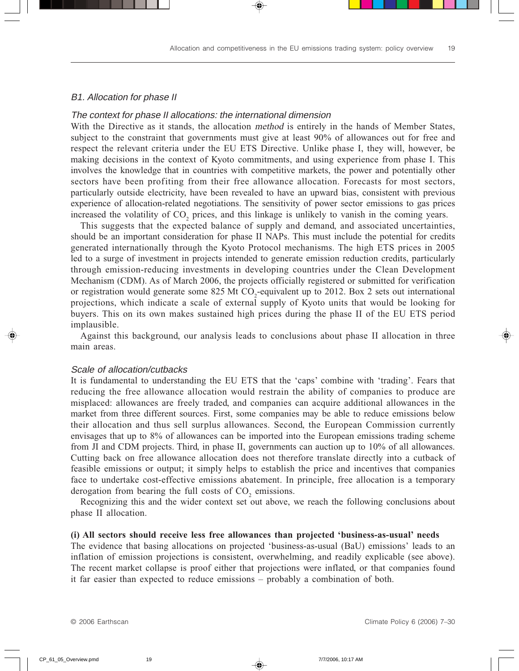## B1. Allocation for phase II

## The context for phase II allocations: the international dimension

With the Directive as it stands, the allocation method is entirely in the hands of Member States, subject to the constraint that governments must give at least 90% of allowances out for free and respect the relevant criteria under the EU ETS Directive. Unlike phase I, they will, however, be making decisions in the context of Kyoto commitments, and using experience from phase I. This involves the knowledge that in countries with competitive markets, the power and potentially other sectors have been profiting from their free allowance allocation. Forecasts for most sectors, particularly outside electricity, have been revealed to have an upward bias, consistent with previous experience of allocation-related negotiations. The sensitivity of power sector emissions to gas prices increased the volatility of  $CO_2$  prices, and this linkage is unlikely to vanish in the coming years.

This suggests that the expected balance of supply and demand, and associated uncertainties, should be an important consideration for phase II NAPs. This must include the potential for credits generated internationally through the Kyoto Protocol mechanisms. The high ETS prices in 2005 led to a surge of investment in projects intended to generate emission reduction credits, particularly through emission-reducing investments in developing countries under the Clean Development Mechanism (CDM). As of March 2006, the projects officially registered or submitted for verification or registration would generate some 825 Mt  $CO_2$ -equivalent up to 2012. Box 2 sets out international projections, which indicate a scale of external supply of Kyoto units that would be looking for buyers. This on its own makes sustained high prices during the phase II of the EU ETS period implausible.

Against this background, our analysis leads to conclusions about phase II allocation in three main areas.

#### Scale of allocation/cutbacks

It is fundamental to understanding the EU ETS that the 'caps' combine with 'trading'. Fears that reducing the free allowance allocation would restrain the ability of companies to produce are misplaced: allowances are freely traded, and companies can acquire additional allowances in the market from three different sources. First, some companies may be able to reduce emissions below their allocation and thus sell surplus allowances. Second, the European Commission currently envisages that up to 8% of allowances can be imported into the European emissions trading scheme from JI and CDM projects. Third, in phase II, governments can auction up to 10% of all allowances. Cutting back on free allowance allocation does not therefore translate directly into a cutback of feasible emissions or output; it simply helps to establish the price and incentives that companies face to undertake cost-effective emissions abatement. In principle, free allocation is a temporary derogation from bearing the full costs of  $CO<sub>2</sub>$  emissions.

Recognizing this and the wider context set out above, we reach the following conclusions about phase II allocation.

## **(i) All sectors should receive less free allowances than projected 'business-as-usual' needs**

The evidence that basing allocations on projected 'business-as-usual (BaU) emissions' leads to an inflation of emission projections is consistent, overwhelming, and readily explicable (see above). The recent market collapse is proof either that projections were inflated, or that companies found it far easier than expected to reduce emissions – probably a combination of both.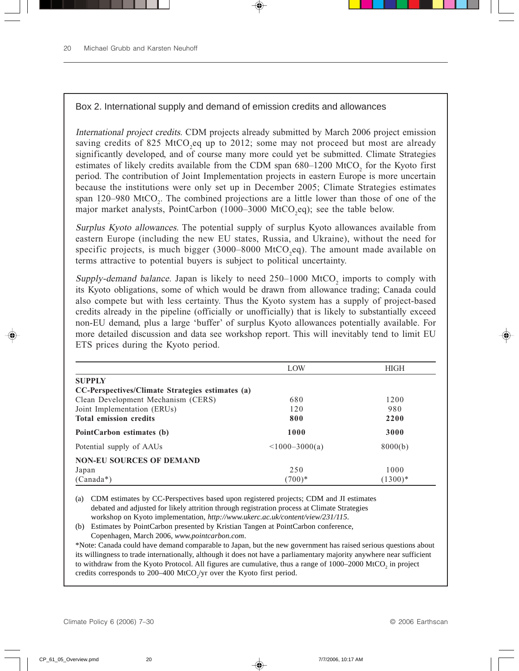Box 2. International supply and demand of emission credits and allowances

International project credits. CDM projects already submitted by March 2006 project emission saving credits of 825 MtCO<sub>2</sub>eq up to 2012; some may not proceed but most are already significantly developed, and of course many more could yet be submitted. Climate Strategies estimates of likely credits available from the CDM span  $680-1200$  MtCO<sub>2</sub> for the Kyoto first period. The contribution of Joint Implementation projects in eastern Europe is more uncertain because the institutions were only set up in December 2005; Climate Strategies estimates span  $120-980$  MtCO<sub>2</sub>. The combined projections are a little lower than those of one of the major market analysts, PointCarbon (1000–3000 MtCO<sub>2</sub>eq); see the table below.

Surplus Kyoto allowances. The potential supply of surplus Kyoto allowances available from eastern Europe (including the new EU states, Russia, and Ukraine), without the need for specific projects, is much bigger  $(3000-8000 \text{ MtCO}_2)$  eq). The amount made available on terms attractive to potential buyers is subject to political uncertainty.

Supply-demand balance. Japan is likely to need  $250-1000$  MtCO<sub>2</sub> imports to comply with its Kyoto obligations, some of which would be drawn from allowance trading; Canada could also compete but with less certainty. Thus the Kyoto system has a supply of project-based credits already in the pipeline (officially or unofficially) that is likely to substantially exceed non-EU demand, plus a large 'buffer' of surplus Kyoto allowances potentially available. For more detailed discussion and data see workshop report. This will inevitably tend to limit EU ETS prices during the Kyoto period.

|                                                  | LOW                   | <b>HIGH</b> |
|--------------------------------------------------|-----------------------|-------------|
| <b>SUPPLY</b>                                    |                       |             |
| CC-Perspectives/Climate Strategies estimates (a) |                       |             |
| Clean Development Mechanism (CERS)               | 680                   | 1200        |
| Joint Implementation (ERUs)                      | 120                   | 980         |
| <b>Total emission credits</b>                    | 800                   | 2200        |
| PointCarbon estimates (b)                        | 1000                  | 3000        |
| Potential supply of AAUs                         | $\leq 1000 - 3000(a)$ | 8000(b)     |
| <b>NON-EU SOURCES OF DEMAND</b>                  |                       |             |
| Japan                                            | 250                   | 1000        |
| $(Canada^*)$                                     | $(700)*$              | $(1300)*$   |

(a) CDM estimates by CC-Perspectives based upon registered projects; CDM and JI estimates debated and adjusted for likely attrition through registration process at Climate Strategies workshop on Kyoto implementation, *http://www.ukerc.ac.uk/content/view/231/115*.

(b) Estimates by PointCarbon presented by Kristian Tangen at PointCarbon conference, Copenhagen, March 2006, *www.pointcarbon.com*.

\*Note: Canada could have demand comparable to Japan, but the new government has raised serious questions about its willingness to trade internationally, although it does not have a parliamentary majority anywhere near sufficient to withdraw from the Kyoto Protocol. All figures are cumulative, thus a range of 1000–2000 MtCO<sub>2</sub> in project credits corresponds to 200–400 MtCO<sub>2</sub>/yr over the Kyoto first period.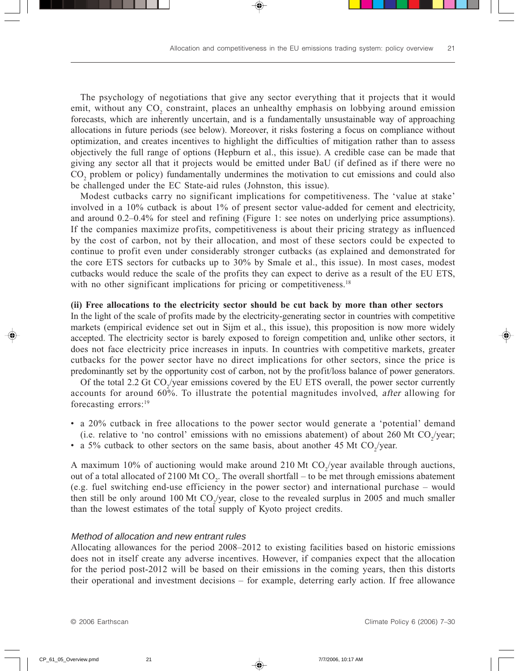The psychology of negotiations that give any sector everything that it projects that it would emit, without any  $CO_2$  constraint, places an unhealthy emphasis on lobbying around emission forecasts, which are inherently uncertain, and is a fundamentally unsustainable way of approaching allocations in future periods (see below). Moreover, it risks fostering a focus on compliance without optimization, and creates incentives to highlight the difficulties of mitigation rather than to assess objectively the full range of options (Hepburn et al., this issue). A credible case can be made that giving any sector all that it projects would be emitted under BaU (if defined as if there were no  $CO<sub>2</sub>$  problem or policy) fundamentally undermines the motivation to cut emissions and could also be challenged under the EC State-aid rules (Johnston, this issue).

Modest cutbacks carry no significant implications for competitiveness. The 'value at stake' involved in a 10% cutback is about 1% of present sector value-added for cement and electricity, and around 0.2–0.4% for steel and refining (Figure 1: see notes on underlying price assumptions). If the companies maximize profits, competitiveness is about their pricing strategy as influenced by the cost of carbon, not by their allocation, and most of these sectors could be expected to continue to profit even under considerably stronger cutbacks (as explained and demonstrated for the core ETS sectors for cutbacks up to 30% by Smale et al., this issue). In most cases, modest cutbacks would reduce the scale of the profits they can expect to derive as a result of the EU ETS, with no other significant implications for pricing or competitiveness.<sup>18</sup>

#### **(ii) Free allocations to the electricity sector should be cut back by more than other sectors**

In the light of the scale of profits made by the electricity-generating sector in countries with competitive markets (empirical evidence set out in Sijm et al., this issue), this proposition is now more widely accepted. The electricity sector is barely exposed to foreign competition and, unlike other sectors, it does not face electricity price increases in inputs. In countries with competitive markets, greater cutbacks for the power sector have no direct implications for other sectors, since the price is predominantly set by the opportunity cost of carbon, not by the profit/loss balance of power generators.

Of the total 2.2 Gt  $CO_2$ /year emissions covered by the EU ETS overall, the power sector currently accounts for around 60%. To illustrate the potential magnitudes involved, after allowing for forecasting errors:19

- a 20% cutback in free allocations to the power sector would generate a 'potential' demand (i.e. relative to 'no control' emissions with no emissions abatement) of about 260 Mt  $CO_2$ /year;
- a 5% cutback to other sectors on the same basis, about another 45 Mt  $CO_2$ /year.

A maximum 10% of auctioning would make around 210 Mt  $CO_2$ /year available through auctions, out of a total allocated of 2100 Mt  $CO_2$ . The overall shortfall – to be met through emissions abatement (e.g. fuel switching end-use efficiency in the power sector) and international purchase – would then still be only around 100 Mt  $CO_2$ /year, close to the revealed surplus in 2005 and much smaller than the lowest estimates of the total supply of Kyoto project credits.

#### Method of allocation and new entrant rules

Allocating allowances for the period 2008–2012 to existing facilities based on historic emissions does not in itself create any adverse incentives. However, if companies expect that the allocation for the period post-2012 will be based on their emissions in the coming years, then this distorts their operational and investment decisions – for example, deterring early action. If free allowance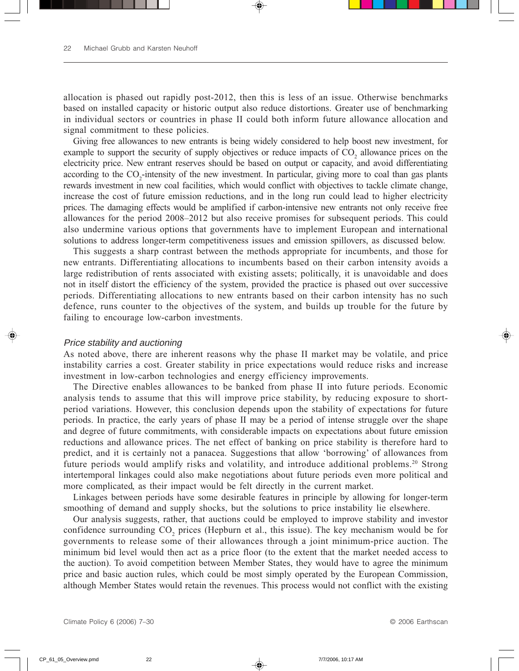allocation is phased out rapidly post-2012, then this is less of an issue. Otherwise benchmarks based on installed capacity or historic output also reduce distortions. Greater use of benchmarking in individual sectors or countries in phase II could both inform future allowance allocation and signal commitment to these policies.

Giving free allowances to new entrants is being widely considered to help boost new investment, for example to support the security of supply objectives or reduce impacts of  $CO_2$  allowance prices on the electricity price. New entrant reserves should be based on output or capacity, and avoid differentiating according to the  $CO_2$ -intensity of the new investment. In particular, giving more to coal than gas plants rewards investment in new coal facilities, which would conflict with objectives to tackle climate change, increase the cost of future emission reductions, and in the long run could lead to higher electricity prices. The damaging effects would be amplified if carbon-intensive new entrants not only receive free allowances for the period 2008–2012 but also receive promises for subsequent periods. This could also undermine various options that governments have to implement European and international solutions to address longer-term competitiveness issues and emission spillovers, as discussed below.

This suggests a sharp contrast between the methods appropriate for incumbents, and those for new entrants. Differentiating allocations to incumbents based on their carbon intensity avoids a large redistribution of rents associated with existing assets; politically, it is unavoidable and does not in itself distort the efficiency of the system, provided the practice is phased out over successive periods. Differentiating allocations to new entrants based on their carbon intensity has no such defence, runs counter to the objectives of the system, and builds up trouble for the future by failing to encourage low-carbon investments.

#### Price stability and auctioning

As noted above, there are inherent reasons why the phase II market may be volatile, and price instability carries a cost. Greater stability in price expectations would reduce risks and increase investment in low-carbon technologies and energy efficiency improvements.

The Directive enables allowances to be banked from phase II into future periods. Economic analysis tends to assume that this will improve price stability, by reducing exposure to shortperiod variations. However, this conclusion depends upon the stability of expectations for future periods. In practice, the early years of phase II may be a period of intense struggle over the shape and degree of future commitments, with considerable impacts on expectations about future emission reductions and allowance prices. The net effect of banking on price stability is therefore hard to predict, and it is certainly not a panacea. Suggestions that allow 'borrowing' of allowances from future periods would amplify risks and volatility, and introduce additional problems.<sup>20</sup> Strong intertemporal linkages could also make negotiations about future periods even more political and more complicated, as their impact would be felt directly in the current market.

Linkages between periods have some desirable features in principle by allowing for longer-term smoothing of demand and supply shocks, but the solutions to price instability lie elsewhere.

Our analysis suggests, rather, that auctions could be employed to improve stability and investor confidence surrounding  $CO_2$  prices (Hepburn et al., this issue). The key mechanism would be for governments to release some of their allowances through a joint minimum-price auction. The minimum bid level would then act as a price floor (to the extent that the market needed access to the auction). To avoid competition between Member States, they would have to agree the minimum price and basic auction rules, which could be most simply operated by the European Commission, although Member States would retain the revenues. This process would not conflict with the existing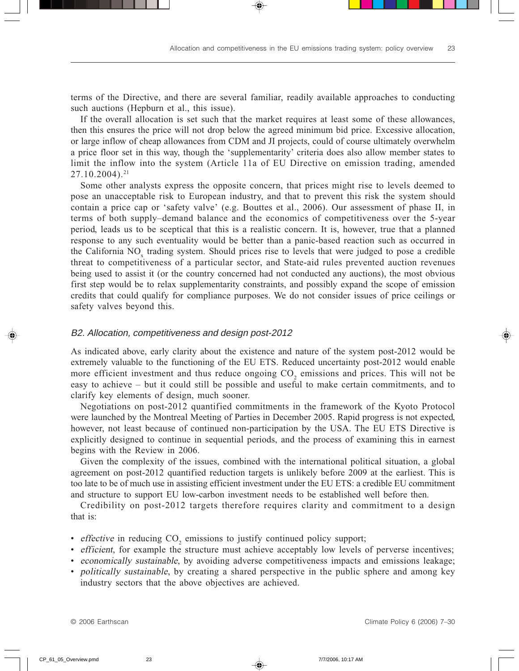terms of the Directive, and there are several familiar, readily available approaches to conducting such auctions (Hepburn et al., this issue).

If the overall allocation is set such that the market requires at least some of these allowances, then this ensures the price will not drop below the agreed minimum bid price. Excessive allocation, or large inflow of cheap allowances from CDM and JI projects, could of course ultimately overwhelm a price floor set in this way, though the 'supplementarity' criteria does also allow member states to limit the inflow into the system (Article 11a of EU Directive on emission trading, amended  $27.10.2004$ ).<sup>21</sup>

Some other analysts express the opposite concern, that prices might rise to levels deemed to pose an unacceptable risk to European industry, and that to prevent this risk the system should contain a price cap or 'safety valve' (e.g. Bouttes et al., 2006). Our assessment of phase II, in terms of both supply–demand balance and the economics of competitiveness over the 5-year period, leads us to be sceptical that this is a realistic concern. It is, however, true that a planned response to any such eventuality would be better than a panic-based reaction such as occurred in the California  $NO<sub>x</sub>$  trading system. Should prices rise to levels that were judged to pose a credible threat to competitiveness of a particular sector, and State-aid rules prevented auction revenues being used to assist it (or the country concerned had not conducted any auctions), the most obvious first step would be to relax supplementarity constraints, and possibly expand the scope of emission credits that could qualify for compliance purposes. We do not consider issues of price ceilings or safety valves beyond this.

#### B2. Allocation, competitiveness and design post-2012

As indicated above, early clarity about the existence and nature of the system post-2012 would be extremely valuable to the functioning of the EU ETS. Reduced uncertainty post-2012 would enable more efficient investment and thus reduce ongoing  $CO_2$  emissions and prices. This will not be easy to achieve – but it could still be possible and useful to make certain commitments, and to clarify key elements of design, much sooner.

Negotiations on post-2012 quantified commitments in the framework of the Kyoto Protocol were launched by the Montreal Meeting of Parties in December 2005. Rapid progress is not expected, however, not least because of continued non-participation by the USA. The EU ETS Directive is explicitly designed to continue in sequential periods, and the process of examining this in earnest begins with the Review in 2006.

Given the complexity of the issues, combined with the international political situation, a global agreement on post-2012 quantified reduction targets is unlikely before 2009 at the earliest. This is too late to be of much use in assisting efficient investment under the EU ETS: a credible EU commitment and structure to support EU low-carbon investment needs to be established well before then.

Credibility on post-2012 targets therefore requires clarity and commitment to a design that is:

- effective in reducing  $CO_2$  emissions to justify continued policy support;
- efficient, for example the structure must achieve acceptably low levels of perverse incentives;
- economically sustainable, by avoiding adverse competitiveness impacts and emissions leakage;
- *politically sustainable*, by creating a shared perspective in the public sphere and among key industry sectors that the above objectives are achieved.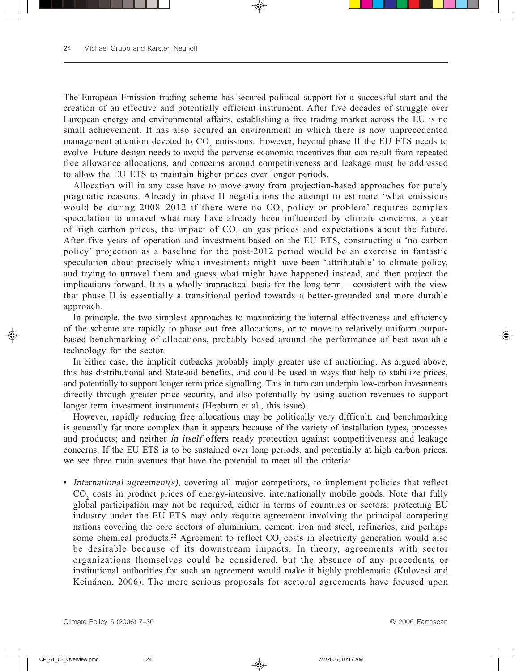The European Emission trading scheme has secured political support for a successful start and the creation of an effective and potentially efficient instrument. After five decades of struggle over European energy and environmental affairs, establishing a free trading market across the EU is no small achievement. It has also secured an environment in which there is now unprecedented management attention devoted to  $CO_2$  emissions. However, beyond phase II the EU ETS needs to evolve. Future design needs to avoid the perverse economic incentives that can result from repeated free allowance allocations, and concerns around competitiveness and leakage must be addressed to allow the EU ETS to maintain higher prices over longer periods.

Allocation will in any case have to move away from projection-based approaches for purely pragmatic reasons. Already in phase II negotiations the attempt to estimate 'what emissions would be during 2008–2012 if there were no  $\mathrm{CO}_2$  policy or problem' requires complex speculation to unravel what may have already been influenced by climate concerns, a year of high carbon prices, the impact of  $CO<sub>2</sub>$  on gas prices and expectations about the future. After five years of operation and investment based on the EU ETS, constructing a 'no carbon policy' projection as a baseline for the post-2012 period would be an exercise in fantastic speculation about precisely which investments might have been 'attributable' to climate policy, and trying to unravel them and guess what might have happened instead, and then project the implications forward. It is a wholly impractical basis for the long term – consistent with the view that phase II is essentially a transitional period towards a better-grounded and more durable approach.

In principle, the two simplest approaches to maximizing the internal effectiveness and efficiency of the scheme are rapidly to phase out free allocations, or to move to relatively uniform outputbased benchmarking of allocations, probably based around the performance of best available technology for the sector.

In either case, the implicit cutbacks probably imply greater use of auctioning. As argued above, this has distributional and State-aid benefits, and could be used in ways that help to stabilize prices, and potentially to support longer term price signalling. This in turn can underpin low-carbon investments directly through greater price security, and also potentially by using auction revenues to support longer term investment instruments (Hepburn et al., this issue).

However, rapidly reducing free allocations may be politically very difficult, and benchmarking is generally far more complex than it appears because of the variety of installation types, processes and products; and neither in itself offers ready protection against competitiveness and leakage concerns. If the EU ETS is to be sustained over long periods, and potentially at high carbon prices, we see three main avenues that have the potential to meet all the criteria:

International agreement(s), covering all major competitors, to implement policies that reflect  $CO<sub>2</sub>$  costs in product prices of energy-intensive, internationally mobile goods. Note that fully global participation may not be required, either in terms of countries or sectors: protecting EU industry under the EU ETS may only require agreement involving the principal competing nations covering the core sectors of aluminium, cement, iron and steel, refineries, and perhaps some chemical products.<sup>22</sup> Agreement to reflect  $CO<sub>z</sub>$  costs in electricity generation would also be desirable because of its downstream impacts. In theory, agreements with sector organizations themselves could be considered, but the absence of any precedents or institutional authorities for such an agreement would make it highly problematic (Kulovesi and Keinänen, 2006). The more serious proposals for sectoral agreements have focused upon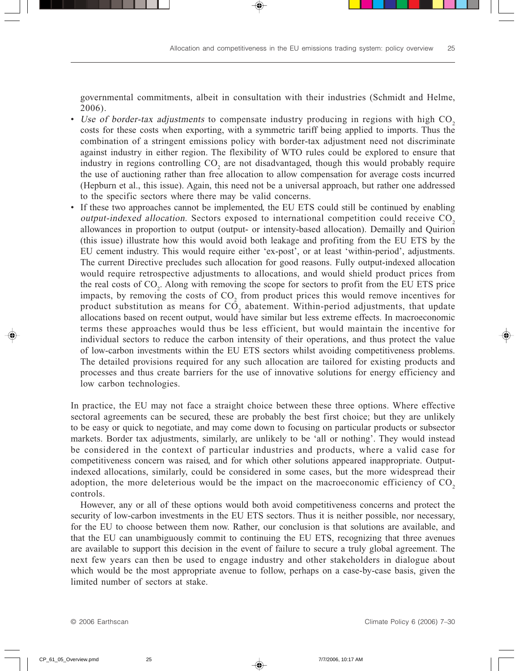governmental commitments, albeit in consultation with their industries (Schmidt and Helme, 2006).

- Use of border-tax adjustments to compensate industry producing in regions with high  $CO<sub>2</sub>$ costs for these costs when exporting, with a symmetric tariff being applied to imports. Thus the combination of a stringent emissions policy with border-tax adjustment need not discriminate against industry in either region. The flexibility of WTO rules could be explored to ensure that industry in regions controlling  $CO<sub>2</sub>$  are not disadvantaged, though this would probably require the use of auctioning rather than free allocation to allow compensation for average costs incurred (Hepburn et al., this issue). Again, this need not be a universal approach, but rather one addressed to the specific sectors where there may be valid concerns.
- If these two approaches cannot be implemented, the EU ETS could still be continued by enabling output-indexed allocation. Sectors exposed to international competition could receive  $CO<sub>2</sub>$ allowances in proportion to output (output- or intensity-based allocation). Demailly and Quirion (this issue) illustrate how this would avoid both leakage and profiting from the EU ETS by the EU cement industry. This would require either 'ex-post', or at least 'within-period', adjustments. The current Directive precludes such allocation for good reasons. Fully output-indexed allocation would require retrospective adjustments to allocations, and would shield product prices from the real costs of  $CO_2$ . Along with removing the scope for sectors to profit from the EU ETS price impacts, by removing the costs of  $CO_2$  from product prices this would remove incentives for product substitution as means for  $CO_2$  abatement. Within-period adjustments, that update allocations based on recent output, would have similar but less extreme effects. In macroeconomic terms these approaches would thus be less efficient, but would maintain the incentive for individual sectors to reduce the carbon intensity of their operations, and thus protect the value of low-carbon investments within the EU ETS sectors whilst avoiding competitiveness problems. The detailed provisions required for any such allocation are tailored for existing products and processes and thus create barriers for the use of innovative solutions for energy efficiency and low carbon technologies.

In practice, the EU may not face a straight choice between these three options. Where effective sectoral agreements can be secured, these are probably the best first choice; but they are unlikely to be easy or quick to negotiate, and may come down to focusing on particular products or subsector markets. Border tax adjustments, similarly, are unlikely to be 'all or nothing'. They would instead be considered in the context of particular industries and products, where a valid case for competitiveness concern was raised, and for which other solutions appeared inappropriate. Outputindexed allocations, similarly, could be considered in some cases, but the more widespread their adoption, the more deleterious would be the impact on the macroeconomic efficiency of  $CO<sub>2</sub>$ controls.

However, any or all of these options would both avoid competitiveness concerns and protect the security of low-carbon investments in the EU ETS sectors. Thus it is neither possible, nor necessary, for the EU to choose between them now. Rather, our conclusion is that solutions are available, and that the EU can unambiguously commit to continuing the EU ETS, recognizing that three avenues are available to support this decision in the event of failure to secure a truly global agreement. The next few years can then be used to engage industry and other stakeholders in dialogue about which would be the most appropriate avenue to follow, perhaps on a case-by-case basis, given the limited number of sectors at stake.

© 2006 Earthscan Climate Policy 6 (2006) 7–30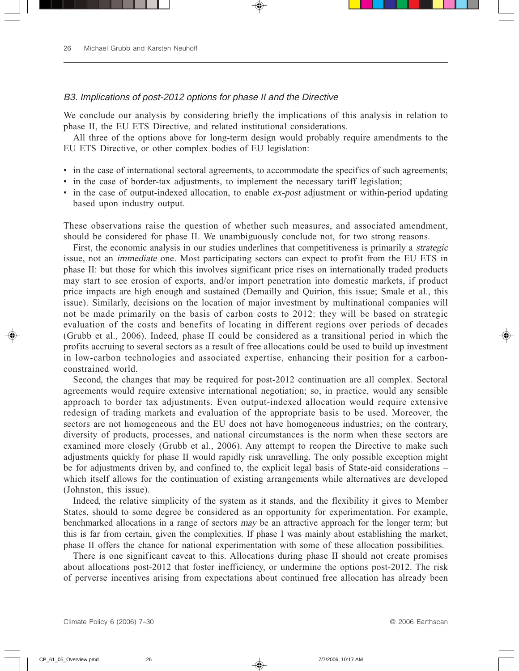## B3. Implications of post-2012 options for phase II and the Directive

We conclude our analysis by considering briefly the implications of this analysis in relation to phase II, the EU ETS Directive, and related institutional considerations.

All three of the options above for long-term design would probably require amendments to the EU ETS Directive, or other complex bodies of EU legislation:

- in the case of international sectoral agreements, to accommodate the specifics of such agreements;
- in the case of border-tax adjustments, to implement the necessary tariff legislation;
- in the case of output-indexed allocation, to enable *ex-post* adjustment or within-period updating based upon industry output.

These observations raise the question of whether such measures, and associated amendment, should be considered for phase II. We unambiguously conclude not, for two strong reasons.

First, the economic analysis in our studies underlines that competitiveness is primarily a *strategic* issue, not an immediate one. Most participating sectors can expect to profit from the EU ETS in phase II: but those for which this involves significant price rises on internationally traded products may start to see erosion of exports, and/or import penetration into domestic markets, if product price impacts are high enough and sustained (Demailly and Quirion, this issue; Smale et al., this issue). Similarly, decisions on the location of major investment by multinational companies will not be made primarily on the basis of carbon costs to 2012: they will be based on strategic evaluation of the costs and benefits of locating in different regions over periods of decades (Grubb et al., 2006). Indeed, phase II could be considered as a transitional period in which the profits accruing to several sectors as a result of free allocations could be used to build up investment in low-carbon technologies and associated expertise, enhancing their position for a carbonconstrained world.

Second, the changes that may be required for post-2012 continuation are all complex. Sectoral agreements would require extensive international negotiation; so, in practice, would any sensible approach to border tax adjustments. Even output-indexed allocation would require extensive redesign of trading markets and evaluation of the appropriate basis to be used. Moreover, the sectors are not homogeneous and the EU does not have homogeneous industries; on the contrary, diversity of products, processes, and national circumstances is the norm when these sectors are examined more closely (Grubb et al., 2006). Any attempt to reopen the Directive to make such adjustments quickly for phase II would rapidly risk unravelling. The only possible exception might be for adjustments driven by, and confined to, the explicit legal basis of State-aid considerations – which itself allows for the continuation of existing arrangements while alternatives are developed (Johnston, this issue).

Indeed, the relative simplicity of the system as it stands, and the flexibility it gives to Member States, should to some degree be considered as an opportunity for experimentation. For example, benchmarked allocations in a range of sectors may be an attractive approach for the longer term; but this is far from certain, given the complexities. If phase I was mainly about establishing the market, phase II offers the chance for national experimentation with some of these allocation possibilities.

There is one significant caveat to this. Allocations during phase II should not create promises about allocations post-2012 that foster inefficiency, or undermine the options post-2012. The risk of perverse incentives arising from expectations about continued free allocation has already been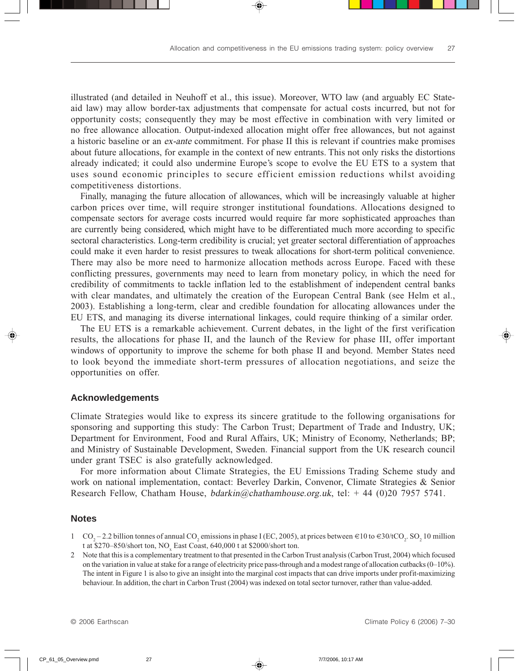illustrated (and detailed in Neuhoff et al., this issue). Moreover, WTO law (and arguably EC Stateaid law) may allow border-tax adjustments that compensate for actual costs incurred, but not for opportunity costs; consequently they may be most effective in combination with very limited or no free allowance allocation. Output-indexed allocation might offer free allowances, but not against a historic baseline or an ex-ante commitment. For phase II this is relevant if countries make promises about future allocations, for example in the context of new entrants. This not only risks the distortions already indicated; it could also undermine Europe's scope to evolve the EU ETS to a system that uses sound economic principles to secure efficient emission reductions whilst avoiding competitiveness distortions.

Finally, managing the future allocation of allowances, which will be increasingly valuable at higher carbon prices over time, will require stronger institutional foundations. Allocations designed to compensate sectors for average costs incurred would require far more sophisticated approaches than are currently being considered, which might have to be differentiated much more according to specific sectoral characteristics. Long-term credibility is crucial; yet greater sectoral differentiation of approaches could make it even harder to resist pressures to tweak allocations for short-term political convenience. There may also be more need to harmonize allocation methods across Europe. Faced with these conflicting pressures, governments may need to learn from monetary policy, in which the need for credibility of commitments to tackle inflation led to the establishment of independent central banks with clear mandates, and ultimately the creation of the European Central Bank (see Helm et al., 2003). Establishing a long-term, clear and credible foundation for allocating allowances under the EU ETS, and managing its diverse international linkages, could require thinking of a similar order.

The EU ETS is a remarkable achievement. Current debates, in the light of the first verification results, the allocations for phase II, and the launch of the Review for phase III, offer important windows of opportunity to improve the scheme for both phase II and beyond. Member States need to look beyond the immediate short-term pressures of allocation negotiations, and seize the opportunities on offer.

## **Acknowledgements**

Climate Strategies would like to express its sincere gratitude to the following organisations for sponsoring and supporting this study: The Carbon Trust; Department of Trade and Industry, UK; Department for Environment, Food and Rural Affairs, UK; Ministry of Economy, Netherlands; BP; and Ministry of Sustainable Development, Sweden. Financial support from the UK research council under grant TSEC is also gratefully acknowledged.

For more information about Climate Strategies, the EU Emissions Trading Scheme study and work on national implementation, contact: Beverley Darkin, Convenor, Climate Strategies & Senior Research Fellow, Chatham House, bdarkin@chathamhouse.org.uk, tel: + 44 (0)20 7957 5741.

#### **Notes**

1 CO<sub>2</sub> − 2.2 billion tonnes of annual CO<sub>2</sub> emissions in phase I (EC, 2005), at prices between €10 to €30/tCO<sub>2</sub>. SO<sub>2</sub> 10 million t at \$270–850/short ton,  $\rm NO_{_X}$  East Coast, 640,000 t at \$2000/short ton.

2 Note that this is a complementary treatment to that presented in the Carbon Trust analysis (Carbon Trust, 2004) which focused on the variation in value at stake for a range of electricity price pass-through and a modest range of allocation cutbacks (0–10%). The intent in Figure 1 is also to give an insight into the marginal cost impacts that can drive imports under profit-maximizing behaviour. In addition, the chart in Carbon Trust (2004) was indexed on total sector turnover, rather than value-added.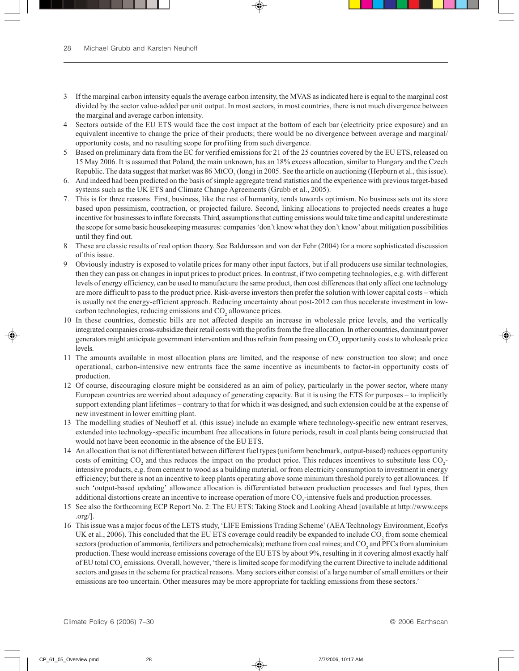- 3 If the marginal carbon intensity equals the average carbon intensity, the MVAS as indicated here is equal to the marginal cost divided by the sector value-added per unit output. In most sectors, in most countries, there is not much divergence between the marginal and average carbon intensity.
- 4 Sectors outside of the EU ETS would face the cost impact at the bottom of each bar (electricity price exposure) and an equivalent incentive to change the price of their products; there would be no divergence between average and marginal/ opportunity costs, and no resulting scope for profiting from such divergence.
- 5 Based on preliminary data from the EC for verified emissions for 21 of the 25 countries covered by the EU ETS, released on 15 May 2006. It is assumed that Poland, the main unknown, has an 18% excess allocation, similar to Hungary and the Czech Republic. The data suggest that market was 86 MtCO<sub>2</sub> (long) in 2005. See the article on auctioning (Hepburn et al., this issue).
- 6. And indeed had been predicted on the basis of simple aggregate trend statistics and the experience with previous target-based systems such as the UK ETS and Climate Change Agreements (Grubb et al., 2005).
- 7. This is for three reasons. First, business, like the rest of humanity, tends towards optimism. No business sets out its store based upon pessimism, contraction, or projected failure. Second, linking allocations to projected needs creates a huge incentive for businesses to inflate forecasts. Third, assumptions that cutting emissions would take time and capital underestimate the scope for some basic housekeeping measures: companies 'don't know what they don't know' about mitigation possibilities until they find out.
- These are classic results of real option theory. See Baldursson and von der Fehr (2004) for a more sophisticated discussion of this issue.
- 9 Obviously industry is exposed to volatile prices for many other input factors, but if all producers use similar technologies, then they can pass on changes in input prices to product prices. In contrast, if two competing technologies, e.g. with different levels of energy efficiency, can be used to manufacture the same product, then cost differences that only affect one technology are more difficult to pass to the product price. Risk-averse investors then prefer the solution with lower capital costs – which is usually not the energy-efficient approach. Reducing uncertainty about post-2012 can thus accelerate investment in lowcarbon technologies, reducing emissions and  $CO<sub>2</sub>$  allowance prices.
- 10 In these countries, domestic bills are not affected despite an increase in wholesale price levels, and the vertically integrated companies cross-subsidize their retail costs with the profits from the free allocation. In other countries, dominant power generators might anticipate government intervention and thus refrain from passing on  $\mathrm{CO}_2$  opportunity costs to wholesale price levels.
- 11 The amounts available in most allocation plans are limited, and the response of new construction too slow; and once operational, carbon-intensive new entrants face the same incentive as incumbents to factor-in opportunity costs of production.
- 12 Of course, discouraging closure might be considered as an aim of policy, particularly in the power sector, where many European countries are worried about adequacy of generating capacity. But it is using the ETS for purposes – to implicitly support extending plant lifetimes – contrary to that for which it was designed, and such extension could be at the expense of new investment in lower emitting plant.
- 13 The modelling studies of Neuhoff et al. (this issue) include an example where technology-specific new entrant reserves, extended into technology-specific incumbent free allocations in future periods, result in coal plants being constructed that would not have been economic in the absence of the EU ETS.
- 14 An allocation that is not differentiated between different fuel types (uniform benchmark, output-based) reduces opportunity costs of emitting  $CO_2$  and thus reduces the impact on the product price. This reduces incentives to substitute less  $CO_2$ intensive products, e.g. from cement to wood as a building material, or from electricity consumption to investment in energy efficiency; but there is not an incentive to keep plants operating above some minimum threshold purely to get allowances. If such 'output-based updating' allowance allocation is differentiated between production processes and fuel types, then additional distortions create an incentive to increase operation of more  $CO_2$ -intensive fuels and production processes.
- 15 See also the forthcoming ECP Report No. 2: The EU ETS: Taking Stock and Looking Ahead [available at http://www.ceps .org/].
- 16 This issue was a major focus of the LETS study, 'LIFE Emissions Trading Scheme' (AEA Technology Environment, Ecofys UK et al., 2006). This concluded that the EU ETS coverage could readily be expanded to include  $CO_2$  from some chemical sectors (production of ammonia, fertilizers and petrochemicals); methane from coal mines; and  $\rm{CO}_2$  and PFCs from aluminium production. These would increase emissions coverage of the EU ETS by about 9%, resulting in it covering almost exactly half of EU total CO<sub>2</sub> emissions. Overall, however, 'there is limited scope for modifying the current Directive to include additional sectors and gases in the scheme for practical reasons. Many sectors either consist of a large number of small emitters or their emissions are too uncertain. Other measures may be more appropriate for tackling emissions from these sectors.'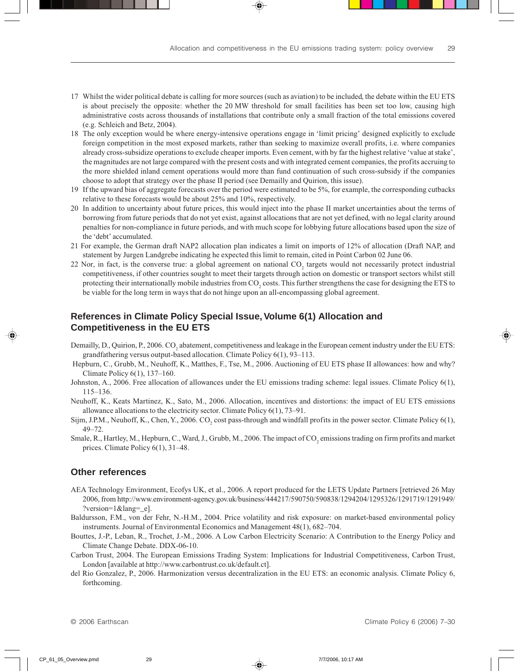- 17 Whilst the wider political debate is calling for more sources (such as aviation) to be included, the debate within the EU ETS is about precisely the opposite: whether the 20 MW threshold for small facilities has been set too low, causing high administrative costs across thousands of installations that contribute only a small fraction of the total emissions covered (e.g. Schleich and Betz, 2004).
- 18 The only exception would be where energy-intensive operations engage in 'limit pricing' designed explicitly to exclude foreign competition in the most exposed markets, rather than seeking to maximize overall profits, i.e. where companies already cross-subsidize operations to exclude cheaper imports. Even cement, with by far the highest relative 'value at stake', the magnitudes are not large compared with the present costs and with integrated cement companies, the profits accruing to the more shielded inland cement operations would more than fund continuation of such cross-subsidy if the companies choose to adopt that strategy over the phase II period (see Demailly and Quirion, this issue).
- 19 If the upward bias of aggregate forecasts over the period were estimated to be 5%, for example, the corresponding cutbacks relative to these forecasts would be about 25% and 10%, respectively.
- 20 In addition to uncertainty about future prices, this would inject into the phase II market uncertainties about the terms of borrowing from future periods that do not yet exist, against allocations that are not yet defined, with no legal clarity around penalties for non-compliance in future periods, and with much scope for lobbying future allocations based upon the size of the 'debt' accumulated.
- 21 For example, the German draft NAP2 allocation plan indicates a limit on imports of 12% of allocation (Draft NAP, and statement by Jurgen Landgrebe indicating he expected this limit to remain, cited in Point Carbon 02 June 06.
- 22 Nor, in fact, is the converse true: a global agreement on national  $CO_2$  targets would not necessarily protect industrial competitiveness, if other countries sought to meet their targets through action on domestic or transport sectors whilst still protecting their internationally mobile industries from  $\mathrm{CO}_2$  costs. This further strengthens the case for designing the ETS to be viable for the long term in ways that do not hinge upon an all-encompassing global agreement.

# **References in Climate Policy Special Issue, Volume 6(1) Allocation and Competitiveness in the EU ETS**

- Demailly, D., Quirion, P., 2006. CO<sub>2</sub> abatement, competitiveness and leakage in the European cement industry under the EU ETS: grandfathering versus output-based allocation. Climate Policy 6(1), 93–113.
- Hepburn, C., Grubb, M., Neuhoff, K., Matthes, F., Tse, M., 2006. Auctioning of EU ETS phase II allowances: how and why? Climate Policy 6(1), 137–160.
- Johnston, A., 2006. Free allocation of allowances under the EU emissions trading scheme: legal issues. Climate Policy 6(1), 115–136.
- Neuhoff, K., Keats Martinez, K., Sato, M., 2006. Allocation, incentives and distortions: the impact of EU ETS emissions allowance allocations to the electricity sector. Climate Policy 6(1), 73–91.
- Sijm, J.P.M., Neuhoff, K., Chen, Y., 2006. CO<sub>2</sub> cost pass-through and windfall profits in the power sector. Climate Policy 6(1), 49–72.
- Smale, R., Hartley, M., Hepburn, C., Ward, J., Grubb, M., 2006. The impact of  $\rm CO_2$  emissions trading on firm profits and market prices. Climate Policy 6(1), 31–48.

## **Other references**

- AEA Technology Environment, Ecofys UK, et al., 2006. A report produced for the LETS Update Partners [retrieved 26 May 2006, from http://www.environment-agency.gov.uk/business/444217/590750/590838/1294204/1295326/1291719/1291949/ ?version=1&lang=\_e].
- Baldursson, F.M., von der Fehr, N.-H.M., 2004. Price volatility and risk exposure: on market-based environmental policy instruments. Journal of Environmental Economics and Management 48(1), 682–704.
- Bouttes, J.-P., Leban, R., Trochet, J.-M., 2006. A Low Carbon Electricity Scenario: A Contribution to the Energy Policy and Climate Change Debate. DDX-06-10.
- Carbon Trust, 2004. The European Emissions Trading System: Implications for Industrial Competitiveness, Carbon Trust, London [available at http://www.carbontrust.co.uk/default.ct].
- del Rio Gonzalez, P., 2006. Harmonization versus decentralization in the EU ETS: an economic analysis. Climate Policy 6, forthcoming.

© 2006 Earthscan Climate Policy 6 (2006) 7–30